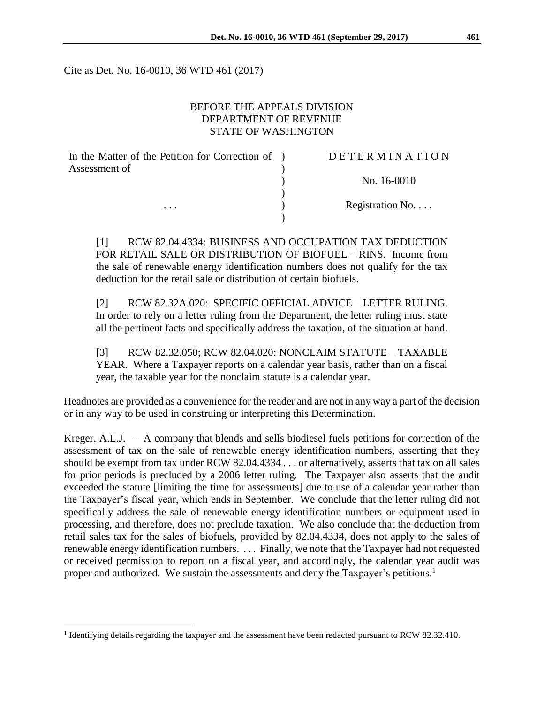Cite as Det. No. 16-0010, 36 WTD 461 (2017)

## BEFORE THE APPEALS DIVISION DEPARTMENT OF REVENUE STATE OF WASHINGTON

| In the Matter of the Petition for Correction of ) | DETERMINATION   |
|---------------------------------------------------|-----------------|
| Assessment of                                     |                 |
|                                                   | No. 16-0010     |
|                                                   |                 |
| $\cdots$                                          | Registration No |
|                                                   |                 |

[1] RCW 82.04.4334: BUSINESS AND OCCUPATION TAX DEDUCTION FOR RETAIL SALE OR DISTRIBUTION OF BIOFUEL – RINS. Income from the sale of renewable energy identification numbers does not qualify for the tax deduction for the retail sale or distribution of certain biofuels.

[2] RCW 82.32A.020: SPECIFIC OFFICIAL ADVICE – LETTER RULING. In order to rely on a letter ruling from the Department, the letter ruling must state all the pertinent facts and specifically address the taxation, of the situation at hand.

[3] RCW 82.32.050; RCW 82.04.020: NONCLAIM STATUTE – TAXABLE YEAR. Where a Taxpayer reports on a calendar year basis, rather than on a fiscal year, the taxable year for the nonclaim statute is a calendar year.

Headnotes are provided as a convenience for the reader and are not in any way a part of the decision or in any way to be used in construing or interpreting this Determination.

Kreger, A.L.J. – A company that blends and sells biodiesel fuels petitions for correction of the assessment of tax on the sale of renewable energy identification numbers, asserting that they should be exempt from tax under RCW 82.04.4334 . . . or alternatively, asserts that tax on all sales for prior periods is precluded by a 2006 letter ruling. The Taxpayer also asserts that the audit exceeded the statute [limiting the time for assessments] due to use of a calendar year rather than the Taxpayer's fiscal year, which ends in September. We conclude that the letter ruling did not specifically address the sale of renewable energy identification numbers or equipment used in processing, and therefore, does not preclude taxation. We also conclude that the deduction from retail sales tax for the sales of biofuels, provided by 82.04.4334, does not apply to the sales of renewable energy identification numbers. . . . Finally, we note that the Taxpayer had not requested or received permission to report on a fiscal year, and accordingly, the calendar year audit was proper and authorized. We sustain the assessments and deny the Taxpayer's petitions.<sup>1</sup>

 $\overline{a}$ 

<sup>&</sup>lt;sup>1</sup> Identifying details regarding the taxpayer and the assessment have been redacted pursuant to RCW 82.32.410.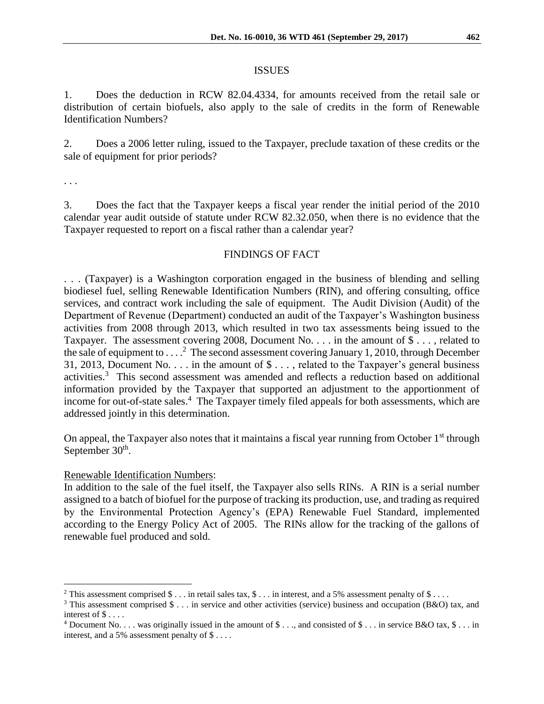#### ISSUES

1. Does the deduction in RCW 82.04.4334, for amounts received from the retail sale or distribution of certain biofuels, also apply to the sale of credits in the form of Renewable Identification Numbers?

2. Does a 2006 letter ruling, issued to the Taxpayer, preclude taxation of these credits or the sale of equipment for prior periods?

. . .

 $\overline{a}$ 

3. Does the fact that the Taxpayer keeps a fiscal year render the initial period of the 2010 calendar year audit outside of statute under RCW 82.32.050, when there is no evidence that the Taxpayer requested to report on a fiscal rather than a calendar year?

## FINDINGS OF FACT

. . . (Taxpayer) is a Washington corporation engaged in the business of blending and selling biodiesel fuel, selling Renewable Identification Numbers (RIN), and offering consulting, office services, and contract work including the sale of equipment. The Audit Division (Audit) of the Department of Revenue (Department) conducted an audit of the Taxpayer's Washington business activities from 2008 through 2013, which resulted in two tax assessments being issued to the Taxpayer. The assessment covering 2008, Document No. . . . in the amount of  $\$\ldots$ , related to the sale of equipment to . . . .<sup>2</sup> The second assessment covering January 1, 2010, through December 31, 2013, Document No. . . . in the amount of \$ . . . , related to the Taxpayer's general business activities. 3 This second assessment was amended and reflects a reduction based on additional information provided by the Taxpayer that supported an adjustment to the apportionment of income for out-of-state sales.<sup>4</sup> The Taxpayer timely filed appeals for both assessments, which are addressed jointly in this determination.

On appeal, the Taxpayer also notes that it maintains a fiscal year running from October  $1<sup>st</sup>$  through September  $30<sup>th</sup>$ .

### Renewable Identification Numbers:

In addition to the sale of the fuel itself, the Taxpayer also sells RINs. A RIN is a serial number assigned to a batch of biofuel for the purpose of tracking its production, use, and trading as required by the Environmental Protection Agency's (EPA) Renewable Fuel Standard, implemented according to the Energy Policy Act of 2005. The RINs allow for the tracking of the gallons of renewable fuel produced and sold.

<sup>&</sup>lt;sup>2</sup> This assessment comprised  $\$\dots$  in retail sales tax,  $\$\dots$  in interest, and a 5% assessment penalty of  $\$\dots$ 

<sup>&</sup>lt;sup>3</sup> This assessment comprised  $\$\dots$  in service and other activities (service) business and occupation (B&O) tax, and interest of \$ . . . .

 $4$  Document No. . . . was originally issued in the amount of \$ . . ., and consisted of \$ . . . in service B&O tax, \$ . . . in interest, and a 5% assessment penalty of \$ . . . .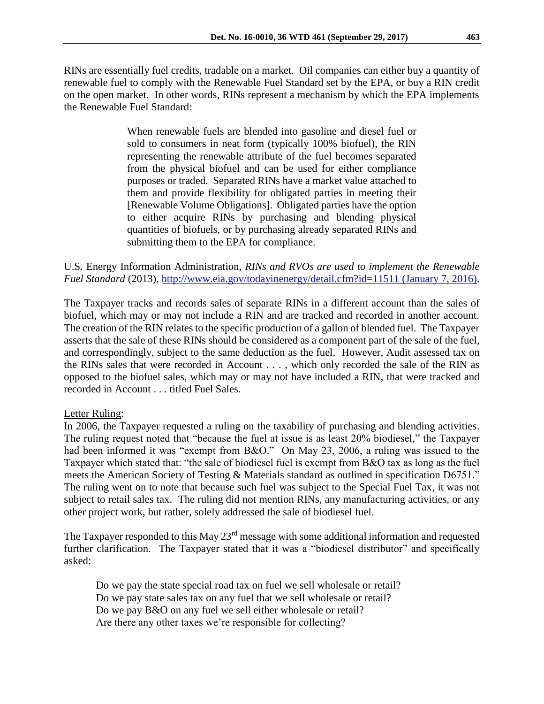When renewable fuels are blended into gasoline and diesel fuel or sold to consumers in neat form (typically 100% biofuel), the RIN representing the renewable attribute of the fuel becomes separated from the physical biofuel and can be used for either compliance purposes or traded. Separated RINs have a market value attached to them and provide flexibility for obligated parties in meeting their [Renewable Volume Obligations]. Obligated parties have the option to either acquire RINs by purchasing and blending physical quantities of biofuels, or by purchasing already separated RINs and submitting them to the EPA for compliance.

# U.S. Energy Information Administration, *RINs and RVOs are used to implement the Renewable Fuel Standard* (2013),<http://www.eia.gov/todayinenergy/detail.cfm?id=11511> (January 7, 2016).

The Taxpayer tracks and records sales of separate RINs in a different account than the sales of biofuel, which may or may not include a RIN and are tracked and recorded in another account. The creation of the RIN relates to the specific production of a gallon of blended fuel. The Taxpayer asserts that the sale of these RINs should be considered as a component part of the sale of the fuel, and correspondingly, subject to the same deduction as the fuel. However, Audit assessed tax on the RINs sales that were recorded in Account . . . , which only recorded the sale of the RIN as opposed to the biofuel sales, which may or may not have included a RIN, that were tracked and recorded in Account . . . titled Fuel Sales.

# Letter Ruling:

In 2006, the Taxpayer requested a ruling on the taxability of purchasing and blending activities. The ruling request noted that "because the fuel at issue is as least 20% biodiesel," the Taxpayer had been informed it was "exempt from B&O." On May 23, 2006, a ruling was issued to the Taxpayer which stated that: "the sale of biodiesel fuel is exempt from B&O tax as long as the fuel meets the American Society of Testing & Materials standard as outlined in specification D6751." The ruling went on to note that because such fuel was subject to the Special Fuel Tax, it was not subject to retail sales tax. The ruling did not mention RINs, any manufacturing activities, or any other project work, but rather, solely addressed the sale of biodiesel fuel.

The Taxpayer responded to this May 23<sup>rd</sup> message with some additional information and requested further clarification. The Taxpayer stated that it was a "biodiesel distributor" and specifically asked:

Do we pay the state special road tax on fuel we sell wholesale or retail? Do we pay state sales tax on any fuel that we sell wholesale or retail? Do we pay B&O on any fuel we sell either wholesale or retail? Are there any other taxes we're responsible for collecting?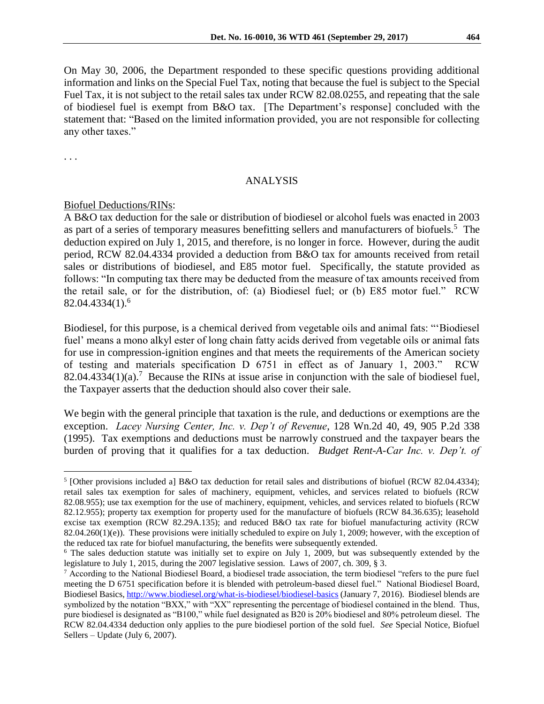On May 30, 2006, the Department responded to these specific questions providing additional information and links on the Special Fuel Tax, noting that because the fuel is subject to the Special Fuel Tax, it is not subject to the retail sales tax under RCW 82.08.0255, and repeating that the sale of biodiesel fuel is exempt from B&O tax. [The Department's response] concluded with the statement that: "Based on the limited information provided, you are not responsible for collecting any other taxes."

. . .

 $\overline{a}$ 

#### ANALYSIS

#### Biofuel Deductions/RINs:

A B&O tax deduction for the sale or distribution of biodiesel or alcohol fuels was enacted in 2003 as part of a series of temporary measures benefitting sellers and manufacturers of biofuels.<sup>5</sup> The deduction expired on July 1, 2015, and therefore, is no longer in force. However, during the audit period, RCW 82.04.4334 provided a deduction from B&O tax for amounts received from retail sales or distributions of biodiesel, and E85 motor fuel. Specifically, the statute provided as follows: "In computing tax there may be deducted from the measure of tax amounts received from the retail sale, or for the distribution, of: (a) Biodiesel fuel; or (b) E85 motor fuel." RCW  $82.04.4334(1).^{6}$ 

Biodiesel, for this purpose, is a chemical derived from vegetable oils and animal fats: "'Biodiesel fuel' means a mono alkyl ester of long chain fatty acids derived from vegetable oils or animal fats for use in compression-ignition engines and that meets the requirements of the American society of testing and materials specification D 6751 in effect as of January 1, 2003." RCW 82.04.4334(1)(a).<sup>7</sup> Because the RINs at issue arise in conjunction with the sale of biodiesel fuel, the Taxpayer asserts that the deduction should also cover their sale.

We begin with the general principle that taxation is the rule, and deductions or exemptions are the exception. *Lacey Nursing Center, Inc. v. Dep't of Revenue*, 128 Wn.2d 40, 49, 905 P.2d 338 (1995). Tax exemptions and deductions must be narrowly construed and the taxpayer bears the burden of proving that it qualifies for a tax deduction. *Budget Rent-A-Car Inc. v. Dep't. of* 

<sup>&</sup>lt;sup>5</sup> [Other provisions included a] B&O tax deduction for retail sales and distributions of biofuel (RCW 82.04.4334); retail sales tax exemption for sales of machinery, equipment, vehicles, and services related to biofuels (RCW 82.08.955); use tax exemption for the use of machinery, equipment, vehicles, and services related to biofuels (RCW 82.12.955); property tax exemption for property used for the manufacture of biofuels (RCW 84.36.635); leasehold excise tax exemption (RCW 82.29A.135); and reduced B&O tax rate for biofuel manufacturing activity (RCW 82.04.260(1)(e)). These provisions were initially scheduled to expire on July 1, 2009; however, with the exception of the reduced tax rate for biofuel manufacturing, the benefits were subsequently extended.

<sup>&</sup>lt;sup>6</sup> The sales deduction statute was initially set to expire on July 1, 2009, but was subsequently extended by the legislature to July 1, 2015, during the 2007 legislative session. Laws of 2007, ch. 309, § 3.

<sup>7</sup> According to the National Biodiesel Board, a biodiesel trade association, the term biodiesel "refers to the pure fuel meeting the D 6751 specification before it is blended with petroleum-based diesel fuel." National Biodiesel Board, Biodiesel Basics[, http://www.biodiesel.org/what-is-biodiesel/biodiesel-basics](http://www.biodiesel.org/what-is-biodiesel/biodiesel-basics) (January 7, 2016). Biodiesel blends are symbolized by the notation "BXX," with "XX" representing the percentage of biodiesel contained in the blend. Thus, pure biodiesel is designated as "B100," while fuel designated as B20 is 20% biodiesel and 80% petroleum diesel. The RCW 82.04.4334 deduction only applies to the pure biodiesel portion of the sold fuel. *See* Special Notice, Biofuel Sellers – Update (July 6, 2007).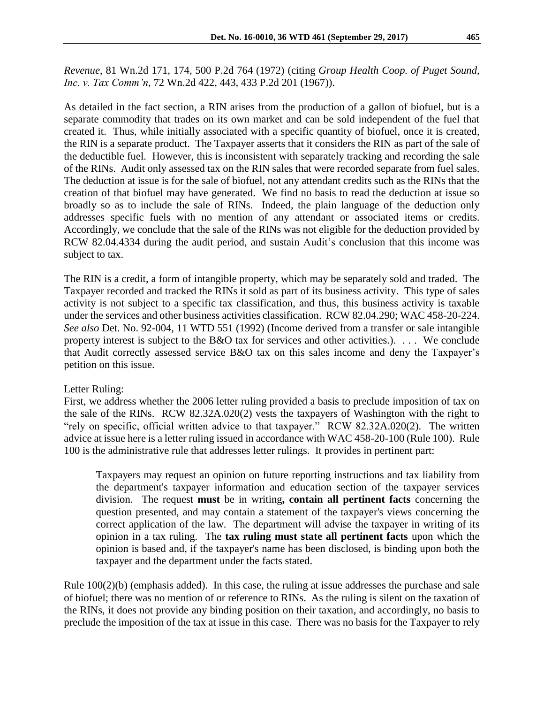*Revenue*, 81 Wn.2d 171, 174, 500 P.2d 764 (1972) (citing *Group Health Coop. of Puget Sound, Inc. v. Tax Comm'n*, 72 Wn.2d 422, 443, 433 P.2d 201 (1967)).

As detailed in the fact section, a RIN arises from the production of a gallon of biofuel, but is a separate commodity that trades on its own market and can be sold independent of the fuel that created it. Thus, while initially associated with a specific quantity of biofuel, once it is created, the RIN is a separate product. The Taxpayer asserts that it considers the RIN as part of the sale of the deductible fuel. However, this is inconsistent with separately tracking and recording the sale of the RINs. Audit only assessed tax on the RIN sales that were recorded separate from fuel sales. The deduction at issue is for the sale of biofuel, not any attendant credits such as the RINs that the creation of that biofuel may have generated. We find no basis to read the deduction at issue so broadly so as to include the sale of RINs. Indeed, the plain language of the deduction only addresses specific fuels with no mention of any attendant or associated items or credits. Accordingly, we conclude that the sale of the RINs was not eligible for the deduction provided by RCW 82.04.4334 during the audit period, and sustain Audit's conclusion that this income was subject to tax.

The RIN is a credit, a form of intangible property, which may be separately sold and traded. The Taxpayer recorded and tracked the RINs it sold as part of its business activity. This type of sales activity is not subject to a specific tax classification, and thus, this business activity is taxable under the services and other business activities classification. RCW 82.04.290; WAC 458-20-224. *See also* Det. No. 92-004, 11 WTD 551 (1992) (Income derived from a transfer or sale intangible property interest is subject to the B&O tax for services and other activities.). . . . We conclude that Audit correctly assessed service B&O tax on this sales income and deny the Taxpayer's petition on this issue.

### Letter Ruling:

First, we address whether the 2006 letter ruling provided a basis to preclude imposition of tax on the sale of the RINs. RCW 82.32A.020(2) vests the taxpayers of Washington with the right to "rely on specific, official written advice to that taxpayer." RCW 82.32A.020(2). The written advice at issue here is a letter ruling issued in accordance with WAC 458-20-100 (Rule 100). Rule 100 is the administrative rule that addresses letter rulings. It provides in pertinent part:

Taxpayers may request an opinion on future reporting instructions and tax liability from the department's taxpayer information and education section of the taxpayer services division. The request **must** be in writing**, contain all pertinent facts** concerning the question presented, and may contain a statement of the taxpayer's views concerning the correct application of the law. The department will advise the taxpayer in writing of its opinion in a tax ruling. The **tax ruling must state all pertinent facts** upon which the opinion is based and, if the taxpayer's name has been disclosed, is binding upon both the taxpayer and the department under the facts stated.

Rule 100(2)(b) (emphasis added). In this case, the ruling at issue addresses the purchase and sale of biofuel; there was no mention of or reference to RINs. As the ruling is silent on the taxation of the RINs, it does not provide any binding position on their taxation, and accordingly, no basis to preclude the imposition of the tax at issue in this case. There was no basis for the Taxpayer to rely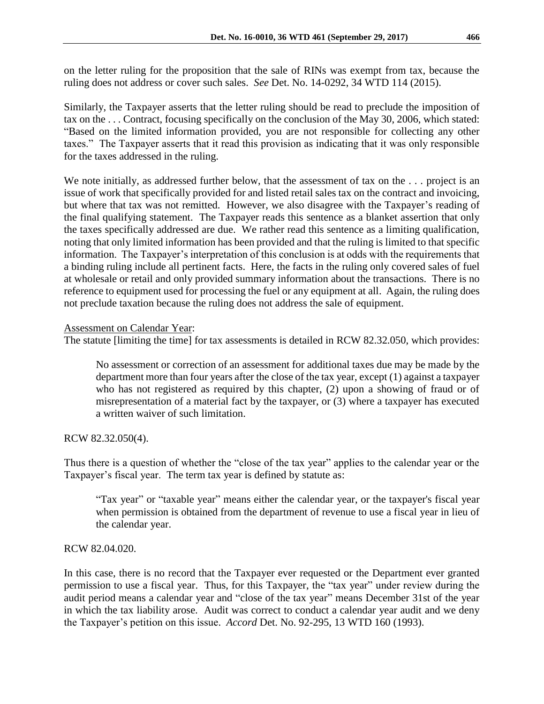on the letter ruling for the proposition that the sale of RINs was exempt from tax, because the ruling does not address or cover such sales. *See* Det. No. 14-0292, 34 WTD 114 (2015).

Similarly, the Taxpayer asserts that the letter ruling should be read to preclude the imposition of tax on the . . . Contract, focusing specifically on the conclusion of the May 30, 2006, which stated: "Based on the limited information provided, you are not responsible for collecting any other taxes." The Taxpayer asserts that it read this provision as indicating that it was only responsible for the taxes addressed in the ruling.

We note initially, as addressed further below, that the assessment of tax on the ... project is an issue of work that specifically provided for and listed retail sales tax on the contract and invoicing, but where that tax was not remitted. However, we also disagree with the Taxpayer's reading of the final qualifying statement. The Taxpayer reads this sentence as a blanket assertion that only the taxes specifically addressed are due. We rather read this sentence as a limiting qualification, noting that only limited information has been provided and that the ruling is limited to that specific information. The Taxpayer's interpretation of this conclusion is at odds with the requirements that a binding ruling include all pertinent facts. Here, the facts in the ruling only covered sales of fuel at wholesale or retail and only provided summary information about the transactions. There is no reference to equipment used for processing the fuel or any equipment at all. Again, the ruling does not preclude taxation because the ruling does not address the sale of equipment.

## Assessment on Calendar Year:

The statute [limiting the time] for tax assessments is detailed in RCW 82.32.050, which provides:

No assessment or correction of an assessment for additional taxes due may be made by the department more than four years after the close of the tax year, except (1) against a taxpayer who has not registered as required by this chapter, (2) upon a showing of fraud or of misrepresentation of a material fact by the taxpayer, or (3) where a taxpayer has executed a written waiver of such limitation.

RCW 82.32.050(4).

Thus there is a question of whether the "close of the tax year" applies to the calendar year or the Taxpayer's fiscal year. The term tax year is defined by statute as:

"Tax year" or "taxable year" means either the calendar year, or the taxpayer's fiscal year when permission is obtained from the department of revenue to use a fiscal year in lieu of the calendar year.

### RCW 82.04.020.

In this case, there is no record that the Taxpayer ever requested or the Department ever granted permission to use a fiscal year. Thus, for this Taxpayer, the "tax year" under review during the audit period means a calendar year and "close of the tax year" means December 31st of the year in which the tax liability arose. Audit was correct to conduct a calendar year audit and we deny the Taxpayer's petition on this issue. *Accord* Det. No. 92-295, 13 WTD 160 (1993).